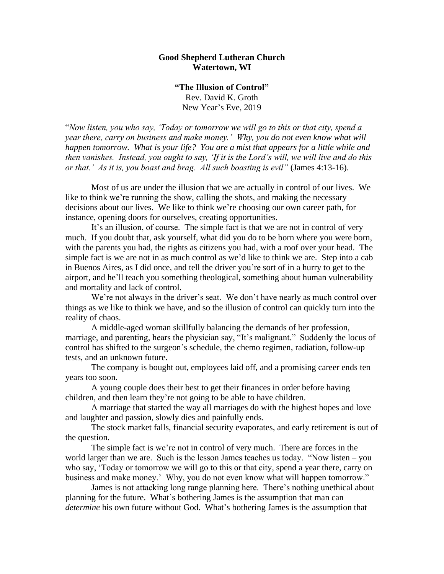## **Good Shepherd Lutheran Church Watertown, WI**

**"The Illusion of Control"** Rev. David K. Groth New Year's Eve, 2019

"*Now listen, you who say, 'Today or tomorrow we will go to this or that city, spend a year there, carry on business and make money.' Why, you do not even know what will happen tomorrow. What is your life? You are a mist that appears for a little while and then vanishes. Instead, you ought to say, 'If it is the Lord's will, we will live and do this or that.' As it is, you boast and brag. All such boasting is evil"* (James 4:13-16).

Most of us are under the illusion that we are actually in control of our lives. We like to think we're running the show, calling the shots, and making the necessary decisions about our lives. We like to think we're choosing our own career path, for instance, opening doors for ourselves, creating opportunities.

It's an illusion, of course. The simple fact is that we are not in control of very much. If you doubt that, ask yourself, what did you do to be born where you were born, with the parents you had, the rights as citizens you had, with a roof over your head. The simple fact is we are not in as much control as we'd like to think we are. Step into a cab in Buenos Aires, as I did once, and tell the driver you're sort of in a hurry to get to the airport, and he'll teach you something theological, something about human vulnerability and mortality and lack of control.

We're not always in the driver's seat. We don't have nearly as much control over things as we like to think we have, and so the illusion of control can quickly turn into the reality of chaos.

A middle-aged woman skillfully balancing the demands of her profession, marriage, and parenting, hears the physician say, "It's malignant." Suddenly the locus of control has shifted to the surgeon's schedule, the chemo regimen, radiation, follow-up tests, and an unknown future.

The company is bought out, employees laid off, and a promising career ends ten years too soon.

A young couple does their best to get their finances in order before having children, and then learn they're not going to be able to have children.

A marriage that started the way all marriages do with the highest hopes and love and laughter and passion, slowly dies and painfully ends.

The stock market falls, financial security evaporates, and early retirement is out of the question.

The simple fact is we're not in control of very much. There are forces in the world larger than we are. Such is the lesson James teaches us today. "Now listen – you who say, 'Today or tomorrow we will go to this or that city, spend a year there, carry on business and make money.' Why, you do not even know what will happen tomorrow."

James is not attacking long range planning here. There's nothing unethical about planning for the future. What's bothering James is the assumption that man can *determine* his own future without God. What's bothering James is the assumption that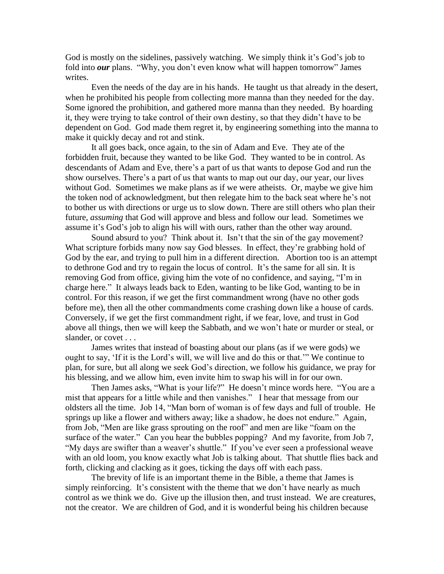God is mostly on the sidelines, passively watching. We simply think it's God's job to fold into *our* plans. "Why, you don't even know what will happen tomorrow" James writes.

Even the needs of the day are in his hands. He taught us that already in the desert, when he prohibited his people from collecting more manna than they needed for the day. Some ignored the prohibition, and gathered more manna than they needed. By hoarding it, they were trying to take control of their own destiny, so that they didn't have to be dependent on God. God made them regret it, by engineering something into the manna to make it quickly decay and rot and stink.

It all goes back, once again, to the sin of Adam and Eve. They ate of the forbidden fruit, because they wanted to be like God. They wanted to be in control. As descendants of Adam and Eve, there's a part of us that wants to depose God and run the show ourselves. There's a part of us that wants to map out our day, our year, our lives without God. Sometimes we make plans as if we were atheists. Or, maybe we give him the token nod of acknowledgment, but then relegate him to the back seat where he's not to bother us with directions or urge us to slow down. There are still others who plan their future, *assuming* that God will approve and bless and follow our lead. Sometimes we assume it's God's job to align his will with ours, rather than the other way around.

Sound absurd to you? Think about it. Isn't that the sin of the gay movement? What scripture forbids many now say God blesses. In effect, they're grabbing hold of God by the ear, and trying to pull him in a different direction. Abortion too is an attempt to dethrone God and try to regain the locus of control. It's the same for all sin. It is removing God from office, giving him the vote of no confidence, and saying, "I'm in charge here." It always leads back to Eden, wanting to be like God, wanting to be in control. For this reason, if we get the first commandment wrong (have no other gods before me), then all the other commandments come crashing down like a house of cards. Conversely, if we get the first commandment right, if we fear, love, and trust in God above all things, then we will keep the Sabbath, and we won't hate or murder or steal, or slander, or covet . . .

James writes that instead of boasting about our plans (as if we were gods) we ought to say, 'If it is the Lord's will, we will live and do this or that.'" We continue to plan, for sure, but all along we seek God's direction, we follow his guidance, we pray for his blessing, and we allow him, even invite him to swap his will in for our own.

Then James asks, "What is your life?" He doesn't mince words here. "You are a mist that appears for a little while and then vanishes." I hear that message from our oldsters all the time. Job 14, "Man born of woman is of few days and full of trouble. He springs up like a flower and withers away; like a shadow, he does not endure." Again, from Job, "Men are like grass sprouting on the roof" and men are like "foam on the surface of the water." Can you hear the bubbles popping? And my favorite, from Job 7, "My days are swifter than a weaver's shuttle." If you've ever seen a professional weave with an old loom, you know exactly what Job is talking about. That shuttle flies back and forth, clicking and clacking as it goes, ticking the days off with each pass.

The brevity of life is an important theme in the Bible, a theme that James is simply reinforcing. It's consistent with the theme that we don't have nearly as much control as we think we do. Give up the illusion then, and trust instead. We are creatures, not the creator. We are children of God, and it is wonderful being his children because